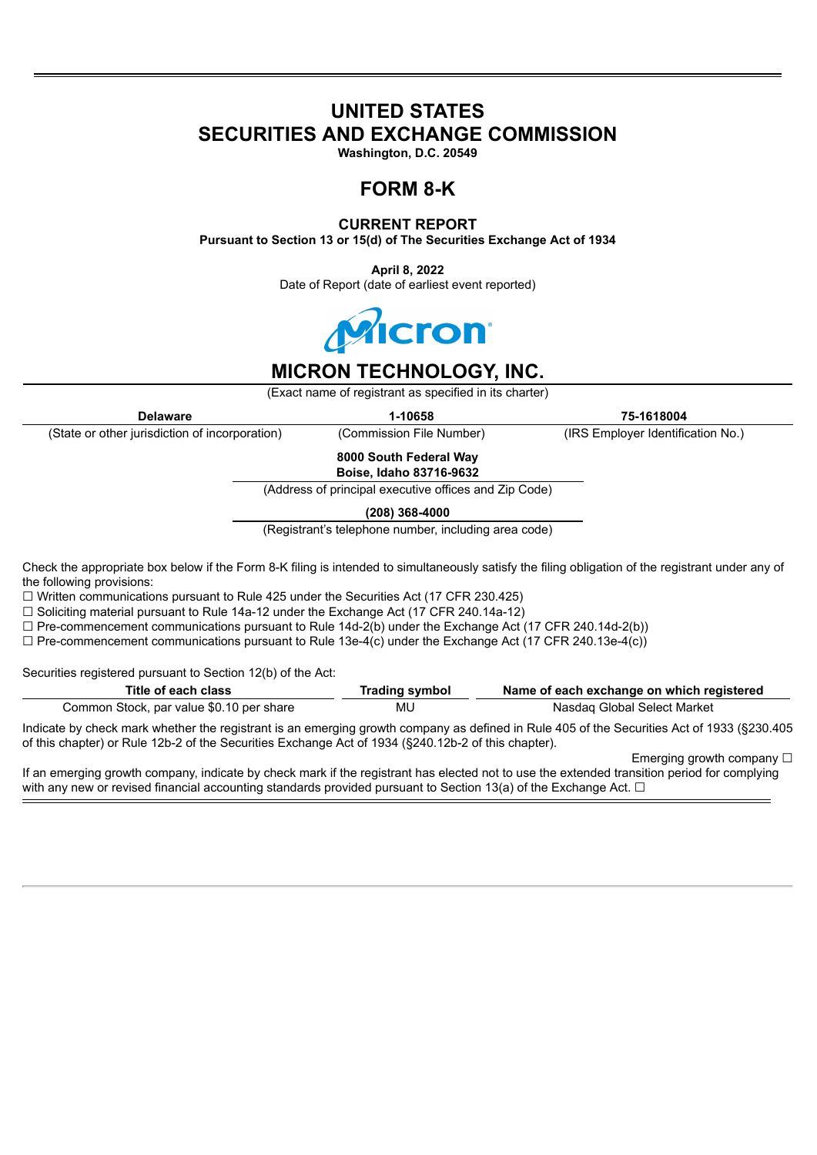# **UNITED STATES SECURITIES AND EXCHANGE COMMISSION**

**Washington, D.C. 20549**

## **FORM 8-K**

### **CURRENT REPORT**

**Pursuant to Section 13 or 15(d) of The Securities Exchange Act of 1934**

**April 8, 2022** Date of Report (date of earliest event reported)



# **MICRON TECHNOLOGY, INC.**

(Exact name of registrant as specified in its charter)

**Delaware 1-10658 75-1618004**

(State or other jurisdiction of incorporation) (Commission File Number) (IRS Employer Identification No.)

**8000 South Federal Way Boise, Idaho 83716-9632**

(Address of principal executive offices and Zip Code)

**(208) 368-4000**

(Registrant's telephone number, including area code)

Check the appropriate box below if the Form 8-K filing is intended to simultaneously satisfy the filing obligation of the registrant under any of the following provisions:

 $\Box$  Written communications pursuant to Rule 425 under the Securities Act (17 CFR 230.425)

 $\Box$  Soliciting material pursuant to Rule 14a-12 under the Exchange Act (17 CFR 240.14a-12)

 $\Box$  Pre-commencement communications pursuant to Rule 14d-2(b) under the Exchange Act (17 CFR 240.14d-2(b))

 $\Box$  Pre-commencement communications pursuant to Rule 13e-4(c) under the Exchange Act (17 CFR 240.13e-4(c))

Securities registered pursuant to Section 12(b) of the Act:

| Title of each class                      | Trading symbol | Name of each exchange on which registered                                                                                                  |
|------------------------------------------|----------------|--------------------------------------------------------------------------------------------------------------------------------------------|
| Common Stock, par value \$0.10 per share | MU             | Nasdag Global Select Market                                                                                                                |
|                                          |                | Indicate by check mark whether the registrant is an emerging growth company as defined in Rule 405 of the Securities Act of 1933 (§230.405 |

of this chapter) or Rule 12b-2 of the Securities Exchange Act of 1934 (§240.12b-2 of this chapter).

Emerging growth company □

If an emerging growth company, indicate by check mark if the registrant has elected not to use the extended transition period for complying with any new or revised financial accounting standards provided pursuant to Section 13(a) of the Exchange Act.  $\Box$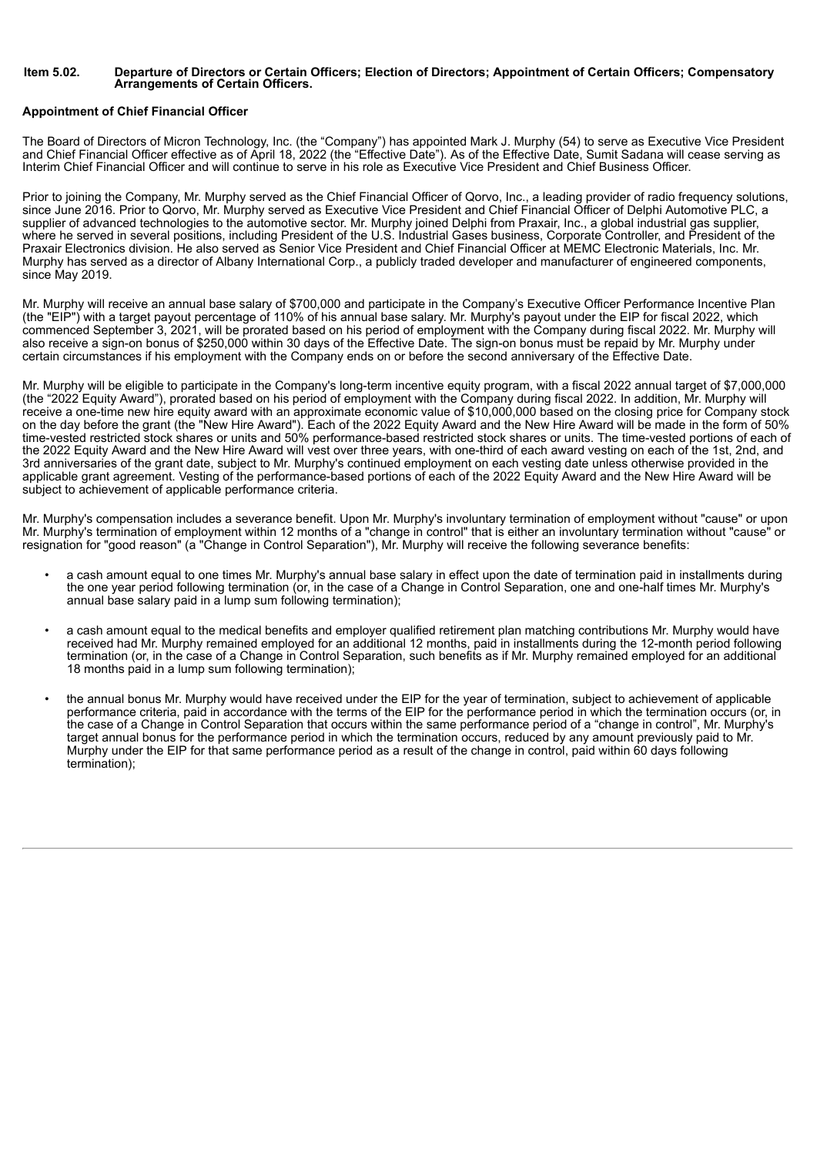#### Item 5.02. Departure of Directors or Certain Officers; Election of Directors; Appointment of Certain Officers; Compensatory **Arrangements of Certain Officers.**

#### **Appointment of Chief Financial Officer**

The Board of Directors of Micron Technology, Inc. (the "Company") has appointed Mark J. Murphy (54) to serve as Executive Vice President and Chief Financial Officer effective as of April 18, 2022 (the "Effective Date"). As of the Effective Date, Sumit Sadana will cease serving as Interim Chief Financial Officer and will continue to serve in his role as Executive Vice President and Chief Business Officer.

Prior to joining the Company, Mr. Murphy served as the Chief Financial Officer of Qorvo, Inc., a leading provider of radio frequency solutions, since June 2016. Prior to Qorvo, Mr. Murphy served as Executive Vice President and Chief Financial Officer of Delphi Automotive PLC, a supplier of advanced technologies to the automotive sector. Mr. Murphy joined Delphi from Praxair, Inc., a global industrial gas supplier, where he served in several positions, including President of the U.S. Industrial Gases business, Corporate Controller, and President of the Praxair Electronics division. He also served as Senior Vice President and Chief Financial Officer at MEMC Electronic Materials, Inc. Mr. Murphy has served as a director of Albany International Corp., a publicly traded developer and manufacturer of engineered components, since May 2019.

Mr. Murphy will receive an annual base salary of \$700,000 and participate in the Company's Executive Officer Performance Incentive Plan (the "EIP") with a target payout percentage of 110% of his annual base salary. Mr. Murphy's payout under the EIP for fiscal 2022, which commenced September 3, 2021, will be prorated based on his period of employment with the Company during fiscal 2022. Mr. Murphy will also receive a sign-on bonus of \$250,000 within 30 days of the Effective Date. The sign-on bonus must be repaid by Mr. Murphy under certain circumstances if his employment with the Company ends on or before the second anniversary of the Effective Date.

Mr. Murphy will be eligible to participate in the Company's long-term incentive equity program, with a fiscal 2022 annual target of \$7,000,000 (the "2022 Equity Award"), prorated based on his period of employment with the Company during fiscal 2022. In addition, Mr. Murphy will receive a one-time new hire equity award with an approximate economic value of \$10,000,000 based on the closing price for Company stock on the day before the grant (the "New Hire Award"). Each of the 2022 Equity Award and the New Hire Award will be made in the form of 50% time-vested restricted stock shares or units and 50% performance-based restricted stock shares or units. The time-vested portions of each of the 2022 Equity Award and the New Hire Award will vest over three years, with one-third of each award vesting on each of the 1st, 2nd, and 3rd anniversaries of the grant date, subject to Mr. Murphy's continued employment on each vesting date unless otherwise provided in the applicable grant agreement. Vesting of the performance-based portions of each of the 2022 Equity Award and the New Hire Award will be subject to achievement of applicable performance criteria.

Mr. Murphy's compensation includes a severance benefit. Upon Mr. Murphy's involuntary termination of employment without "cause" or upon Mr. Murphy's termination of employment within 12 months of a "change in control" that is either an involuntary termination without "cause" or resignation for "good reason" (a "Change in Control Separation"), Mr. Murphy will receive the following severance benefits:

- a cash amount equal to one times Mr. Murphy's annual base salary in effect upon the date of termination paid in installments during the one year period following termination (or, in the case of a Change in Control Separation, one and one-half times Mr. Murphy's annual base salary paid in a lump sum following termination);
- a cash amount equal to the medical benefits and employer qualified retirement plan matching contributions Mr. Murphy would have received had Mr. Murphy remained employed for an additional 12 months, paid in installments during the 12-month period following termination (or, in the case of a Change in Control Separation, such benefits as if Mr. Murphy remained employed for an additional 18 months paid in a lump sum following termination);
- the annual bonus Mr. Murphy would have received under the EIP for the year of termination, subject to achievement of applicable performance criteria, paid in accordance with the terms of the EIP for the performance period in which the termination occurs (or, in the case of a Change in Control Separation that occurs within the same performance period of a "change in control", Mr. Murphy's target annual bonus for the performance period in which the termination occurs, reduced by any amount previously paid to Mr. Murphy under the EIP for that same performance period as a result of the change in control, paid within 60 days following termination);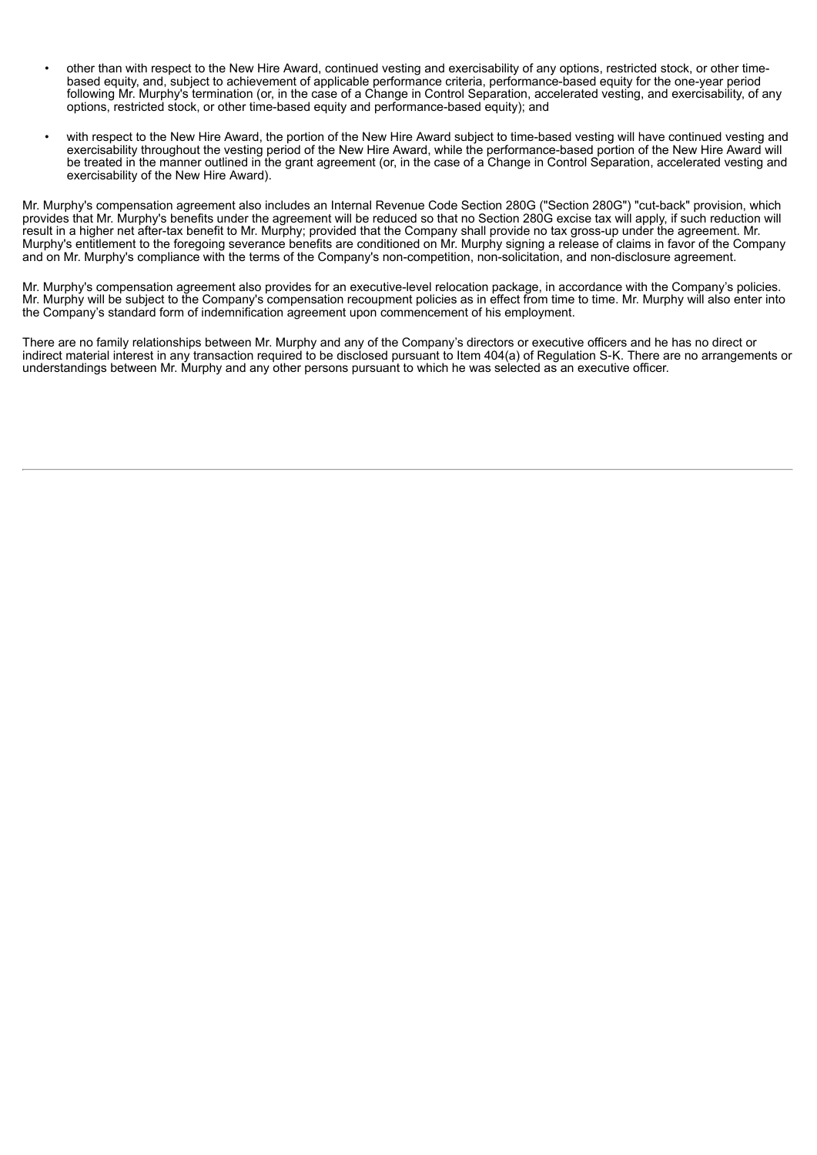- other than with respect to the New Hire Award, continued vesting and exercisability of any options, restricted stock, or other timebased equity, and, subject to achievement of applicable performance criteria, performance-based equity for the one-year period following Mr. Murphy's termination (or, in the case of a Change in Control Separation, accelerated vesting, and exercisability, of any options, restricted stock, or other time-based equity and performance-based equity); and
- with respect to the New Hire Award, the portion of the New Hire Award subject to time-based vesting will have continued vesting and exercisability throughout the vesting period of the New Hire Award, while the performance-based portion of the New Hire Award will be treated in the manner outlined in the grant agreement (or, in the case of a Change in Control Separation, accelerated vesting and exercisability of the New Hire Award).

Mr. Murphy's compensation agreement also includes an Internal Revenue Code Section 280G ("Section 280G") "cut-back" provision, which provides that Mr. Murphy's benefits under the agreement will be reduced so that no Section 280G excise tax will apply, if such reduction will result in a higher net after-tax benefit to Mr. Murphy; provided that the Company shall provide no tax gross-up under the agreement. Mr. Murphy's entitlement to the foregoing severance benefits are conditioned on Mr. Murphy signing a release of claims in favor of the Company and on Mr. Murphy's compliance with the terms of the Company's non-competition, non-solicitation, and non-disclosure agreement.

Mr. Murphy's compensation agreement also provides for an executive-level relocation package, in accordance with the Company's policies. Mr. Murphy will be subject to the Company's compensation recoupment policies as in effect from time to time. Mr. Murphy will also enter into the Company's standard form of indemnification agreement upon commencement of his employment.

There are no family relationships between Mr. Murphy and any of the Company's directors or executive officers and he has no direct or indirect material interest in any transaction required to be disclosed pursuant to Item 404(a) of Regulation S-K. There are no arrangements or understandings between Mr. Murphy and any other persons pursuant to which he was selected as an executive officer.